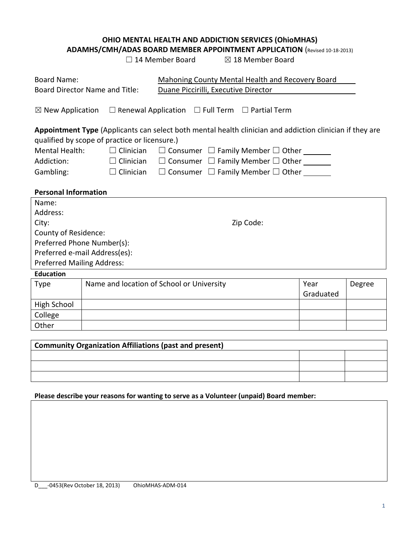# **OHIO MENTAL HEALTH AND ADDICTION SERVICES (OhioMHAS)**

**ADAMHS/CMH/ADAS BOARD MEMBER APPOINTMENT APPLICATION** (Revised 10-18-2013)

| $\Box$ 14 Member Board |  |
|------------------------|--|
|------------------------|--|

⊠ 18 Member Board

| Board Name:<br><b>Board Director Name and Title:</b> |                                                                                                          |                                               | Mahoning County Mental Health and Recovery Board<br>Duane Piccirilli, Executive Director |  |  |  |
|------------------------------------------------------|----------------------------------------------------------------------------------------------------------|-----------------------------------------------|------------------------------------------------------------------------------------------|--|--|--|
| $\boxtimes$ New Application                          |                                                                                                          |                                               | $\Box$ Renewal Application $\Box$ Full Term $\Box$ Partial Term                          |  |  |  |
|                                                      | Appointment Type (Applicants can select both mental health clinician and addiction clinician if they are |                                               |                                                                                          |  |  |  |
|                                                      |                                                                                                          | qualified by scope of practice or licensure.) |                                                                                          |  |  |  |
| <b>Mental Health:</b>                                |                                                                                                          | $\Box$ Clinician                              | $\Box$ Consumer $\Box$ Family Member $\Box$ Other _______                                |  |  |  |
| Addiction:                                           |                                                                                                          | $\Box$ Clinician                              | $\Box$ Consumer $\Box$ Family Member $\Box$ Other                                        |  |  |  |
| Gambling:                                            |                                                                                                          | $\Box$ Clinician                              | $\Box$ Consumer $\Box$ Family Member $\Box$ Other _______                                |  |  |  |
|                                                      |                                                                                                          |                                               |                                                                                          |  |  |  |
| <b>Personal Information</b>                          |                                                                                                          |                                               |                                                                                          |  |  |  |
| Name:                                                |                                                                                                          |                                               |                                                                                          |  |  |  |
| Address:                                             |                                                                                                          |                                               |                                                                                          |  |  |  |
| City:                                                | Zip Code:                                                                                                |                                               |                                                                                          |  |  |  |
|                                                      | County of Residence:                                                                                     |                                               |                                                                                          |  |  |  |
| Preferred Phone Number(s):                           |                                                                                                          |                                               |                                                                                          |  |  |  |
| Preferred e-mail Address(es):                        |                                                                                                          |                                               |                                                                                          |  |  |  |
| Preferred Mailing Address:                           |                                                                                                          |                                               |                                                                                          |  |  |  |
| <b>Education</b>                                     |                                                                                                          |                                               |                                                                                          |  |  |  |
| <b>Type</b>                                          |                                                                                                          |                                               | Name and location of School or University<br>Year<br>Degree                              |  |  |  |
|                                                      |                                                                                                          |                                               | Graduated                                                                                |  |  |  |
| <b>High School</b>                                   |                                                                                                          |                                               |                                                                                          |  |  |  |
| College                                              |                                                                                                          |                                               |                                                                                          |  |  |  |
| Other                                                |                                                                                                          |                                               |                                                                                          |  |  |  |

| <b>Community Organization Affiliations (past and present)</b> |  |  |  |  |
|---------------------------------------------------------------|--|--|--|--|
|                                                               |  |  |  |  |
|                                                               |  |  |  |  |
|                                                               |  |  |  |  |

#### **Please describe your reasons for wanting to serve as a Volunteer (unpaid) Board member:**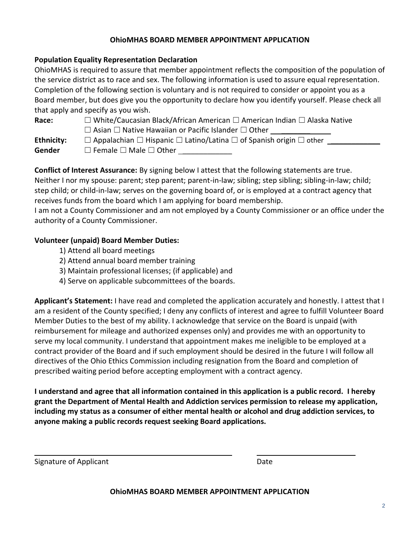## **OhioMHAS BOARD MEMBER APPOINTMENT APPLICATION**

#### **Population Equality Representation Declaration**

OhioMHAS is required to assure that member appointment reflects the composition of the population of the service district as to race and sex. The following information is used to assure equal representation. Completion of the following section is voluntary and is not required to consider or appoint you as a Board member, but does give you the opportunity to declare how you identify yourself. Please check all that apply and specify as you wish.

| Race:             | □ White/Caucasian Black/African American □ American Indian □ Alaska Native                    |
|-------------------|-----------------------------------------------------------------------------------------------|
|                   | $\Box$ Asian $\Box$ Native Hawaiian or Pacific Islander $\Box$ Other                          |
| <b>Ethnicity:</b> | $\Box$ Appalachian $\Box$ Hispanic $\Box$ Latino/Latina $\Box$ of Spanish origin $\Box$ other |

**Gender** □ Female □ Male □ Other \_\_\_\_\_\_\_\_\_\_\_\_\_\_

**Conflict of Interest Assurance:** By signing below I attest that the following statements are true. Neither I nor my spouse: parent; step parent; parent-in-law; sibling; step sibling; sibling-in-law; child; step child; or child-in-law; serves on the governing board of, or is employed at a contract agency that receives funds from the board which I am applying for board membership.

I am not a County Commissioner and am not employed by a County Commissioner or an office under the authority of a County Commissioner.

## **Volunteer (unpaid) Board Member Duties:**

- 1) Attend all board meetings
- 2) Attend annual board member training
- 3) Maintain professional licenses; (if applicable) and
- 4) Serve on applicable subcommittees of the boards.

**Applicant's Statement:** I have read and completed the application accurately and honestly. I attest that I am a resident of the County specified; I deny any conflicts of interest and agree to fulfill Volunteer Board Member Duties to the best of my ability. I acknowledge that service on the Board is unpaid (with reimbursement for mileage and authorized expenses only) and provides me with an opportunity to serve my local community. I understand that appointment makes me ineligible to be employed at a contract provider of the Board and if such employment should be desired in the future I will follow all directives of the Ohio Ethics Commission including resignation from the Board and completion of prescribed waiting period before accepting employment with a contract agency.

**I understand and agree that all information contained in this application is a public record. I hereby grant the Department of Mental Health and Addiction services permission to release my application, including my status as a consumer of either mental health or alcohol and drug addiction services, to anyone making a public records request seeking Board applications.**

Signature of Applicant **Date** Date **Date** Date **Date** 

**OhioMHAS BOARD MEMBER APPOINTMENT APPLICATION**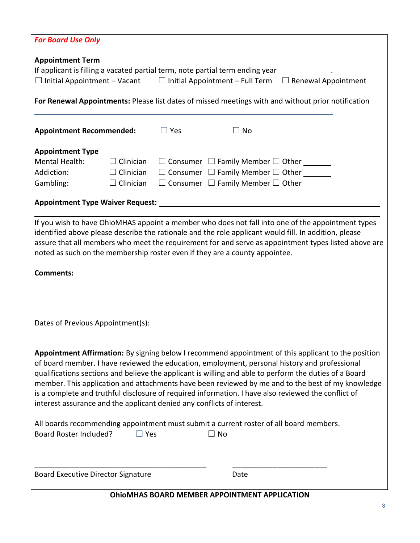| <b>For Board Use Only</b>                                                                                                                                                                                                                                                                                                                                                                                                                                                                                                                                                                            |                                                                                                    |            |                                                                                                                                                                             |  |  |
|------------------------------------------------------------------------------------------------------------------------------------------------------------------------------------------------------------------------------------------------------------------------------------------------------------------------------------------------------------------------------------------------------------------------------------------------------------------------------------------------------------------------------------------------------------------------------------------------------|----------------------------------------------------------------------------------------------------|------------|-----------------------------------------------------------------------------------------------------------------------------------------------------------------------------|--|--|
| <b>Appointment Term</b><br>If applicant is filling a vacated partial term, note partial term ending year _______________<br>$\Box$ Initial Appointment – Vacant $\Box$ Initial Appointment – Full Term $\Box$ Renewal Appointment                                                                                                                                                                                                                                                                                                                                                                    |                                                                                                    |            |                                                                                                                                                                             |  |  |
|                                                                                                                                                                                                                                                                                                                                                                                                                                                                                                                                                                                                      | For Renewal Appointments: Please list dates of missed meetings with and without prior notification |            |                                                                                                                                                                             |  |  |
| <b>Appointment Recommended:</b>                                                                                                                                                                                                                                                                                                                                                                                                                                                                                                                                                                      |                                                                                                    | $\Box$ Yes | $\Box$ No                                                                                                                                                                   |  |  |
| <b>Appointment Type</b><br>Mental Health:<br>Addiction:<br>Gambling:                                                                                                                                                                                                                                                                                                                                                                                                                                                                                                                                 | $\Box$ Clinician<br>$\Box$ Clinician<br>$\Box$ Clinician                                           |            | $\Box$ Consumer $\Box$ Family Member $\Box$ Other _______<br>$\Box$ Consumer $\Box$ Family Member $\Box$ Other _______<br>$\Box$ Consumer $\Box$ Family Member $\Box$ Other |  |  |
|                                                                                                                                                                                                                                                                                                                                                                                                                                                                                                                                                                                                      |                                                                                                    |            |                                                                                                                                                                             |  |  |
| If you wish to have OhioMHAS appoint a member who does not fall into one of the appointment types<br>identified above please describe the rationale and the role applicant would fill. In addition, please<br>assure that all members who meet the requirement for and serve as appointment types listed above are<br>noted as such on the membership roster even if they are a county appointee.                                                                                                                                                                                                    |                                                                                                    |            |                                                                                                                                                                             |  |  |
| <b>Comments:</b>                                                                                                                                                                                                                                                                                                                                                                                                                                                                                                                                                                                     |                                                                                                    |            |                                                                                                                                                                             |  |  |
| Dates of Previous Appointment(s):                                                                                                                                                                                                                                                                                                                                                                                                                                                                                                                                                                    |                                                                                                    |            |                                                                                                                                                                             |  |  |
| Appointment Affirmation: By signing below I recommend appointment of this applicant to the position<br>of board member. I have reviewed the education, employment, personal history and professional<br>qualifications sections and believe the applicant is willing and able to perform the duties of a Board<br>member. This application and attachments have been reviewed by me and to the best of my knowledge<br>is a complete and truthful disclosure of required information. I have also reviewed the conflict of<br>interest assurance and the applicant denied any conflicts of interest. |                                                                                                    |            |                                                                                                                                                                             |  |  |
| All boards recommending appointment must submit a current roster of all board members.<br>Board Roster Included?<br>$\square$ Yes<br><b>No</b>                                                                                                                                                                                                                                                                                                                                                                                                                                                       |                                                                                                    |            |                                                                                                                                                                             |  |  |
| <b>Board Executive Director Signature</b>                                                                                                                                                                                                                                                                                                                                                                                                                                                                                                                                                            |                                                                                                    |            | Date                                                                                                                                                                        |  |  |

# **OhioMHAS BOARD MEMBER APPOINTMENT APPLICATION**